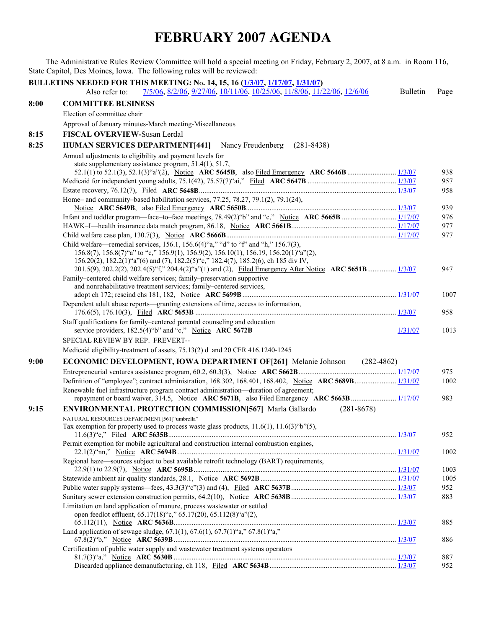## **FEBRUARY 2007 AGENDA**

The Administrative Rules Review Committee will hold a special meeting on Friday, February 2, 2007, at 8 a.m. in Room 116, State Capitol, Des Moines, Iowa. The following rules will be reviewed: **BULLETINS NEEDED FOR THIS MEETING: NO. 14, 15, 16 [\(1/3/07,](http://www.legis.state.ia.us/Rules/2007/Bulletin/IAB070103.htm) [1/17/07,](http://www.legis.state.ia.us/Rules/2007/Bulletin/IAB070117.htm) [1/31/07\)](http://www.legis.state.ia.us/Rules/2007/Bulletin/IAB070131.htm)**  Also refer to:  $\frac{7}{5/06}$ ,  $\frac{8}{2/06}$ ,  $\frac{9}{27/06}$ ,  $\frac{10}{11/06}$ ,  $\frac{10}{25/06}$ ,  $\frac{11}{8/06}$ ,  $\frac{11}{22/06}$ ,  $\frac{12}{6/06}$  Bulletin Page **8:00 COMMITTEE BUSINESS**  Election of committee chair Approval of January minutes-March meeting-Miscellaneous **8:15 FISCAL OVERVIEW-**Susan Lerdal **8:25 HUMAN SERVICES DEPARTMENT[441]** Nancy Freudenberg (281-8438) Annual adjustments to eligibility and payment levels for state supplementary assistance program, 51.4(1), 51.7, 52.1(1) to 52.1(3), 52.1(3)"a"(2), Notice **ARC 5645B**, also Filed Emergency **ARC 5646B** ........................... [1/3/07](http://www.legis.state.ia.us/Rules/2007/Bulletin/IAB070103.htm) 938 Medicaid for independent young adults, 75.1(42), 75.57(7)"ai," Filed **ARC 5647B** ................................................. [1/3/07](http://www.legis.state.ia.us/Rules/2007/Bulletin/IAB070103.htm) 957 Estate recovery, 76.12(7), Filed **ARC 5648B**............................................................................................................. [1/3/07](http://www.legis.state.ia.us/Rules/2007/Bulletin/IAB070103.htm) 958 Home– and community–based habilitation services, 77.25, 78.27, 79.1(2), 79.1(24), Notice **ARC 5649B**, also Filed Emergency **ARC 5650B**................................................................................... [1/3/07](http://www.legis.state.ia.us/Rules/2007/Bulletin/IAB070103.htm) 939 Infant and toddler program—face–to–face meetings, 78.49(2)"b" and "c," Notice **ARC 5665B** .............................. [1/17/07](http://www.legis.state.ia.us/Rules/2007/Bulletin/IAB070117.htm) 976 HAWK–I—health insurance data match program, 86.18, Notice **ARC 5661B**.......................................................... [1/17/07](http://www.legis.state.ia.us/Rules/2007/Bulletin/IAB070117.htm) 977 Child welfare case plan, 130.7(3), Notice **ARC 5666B**.............................................................................................. [1/17/07](http://www.legis.state.ia.us/Rules/2007/Bulletin/IAB070117.htm) 977 Child welfare—remedial services, 156.1, 156.6(4)"a," "d" to "f" and "h," 156.7(3), 156.8(7), 156.8(7)"a" to "c," 156.9(1), 156.9(2), 156.10(1), 156.19, 156.20(1)"a"(2), 156.20(2), 182.2(1)"a"(6) and (7), 182.2(5)"c," 182.4(7), 185.2(6), ch 185 div IV, 201.5(9), 202.2(2), 202.4(5)"f," 204.4(2)"a"(1) and (2), Filed Emergency After Notice **ARC 5651B**................ [1/3/07](http://www.legis.state.ia.us/Rules/2007/Bulletin/IAB070103.htm) 947 Family–centered child welfare services; family–preservation supportive and nonrehabilitative treatment services; family–centered services, adopt ch 172; rescind chs 181, 182, Notice **ARC 5699B**..................................................................................... [1/31/07](http://www.legis.state.ia.us/Rules/2007/Bulletin/IAB070131.htm) 1007 Dependent adult abuse reports—granting extensions of time, access to information, 176.6(5), 176.10(3), Filed **ARC 5653B** ............................................................................................................... [1/3/07](http://www.legis.state.ia.us/Rules/2007/Bulletin/IAB070103.htm) 958 Staff qualifications for family–centered parental counseling and education service providers, 182.5(4) "b" and "c," Notice **ARC 5672B** [1/31/07](http://www.legis.state.ia.us/Rules/2007/Bulletin/IAB070131.htm) 1013 SPECIAL REVIEW BY REP. FREVERT-- Medicaid eligibility-treatment of assets, 75.13(2) d and 20 CFR 416.1240-1245 **9:00 ECONOMIC DEVELOPMENT, IOWA DEPARTMENT OF[261]** Melanie Johnson (282-4862) Entrepreneurial ventures assistance program, 60.2, 60.3(3), Notice **ARC 5662B**...................................................... [1/17/07](http://www.legis.state.ia.us/Rules/2007/Bulletin/IAB070117.htm) 975 Definition of "employee"; contract administration, 168.302, 168.401, 168.402, Notice **ARC 5689B**....................... [1/31/07](http://www.legis.state.ia.us/Rules/2007/Bulletin/IAB070131.htm) 1002 Renewable fuel infrastructure program contract administration—duration of agreement; repayment or board waiver, 314.5, Notice **ARC 5671B**, also Filed Emergency **ARC 5663B**......................... [1/17/07](http://www.legis.state.ia.us/Rules/2007/Bulletin/IAB070117.htm) 983 **9:15 ENVIRONMENTAL PROTECTION COMMISSION[567]** Marla Gallardo (281-8678) NATURAL RESOURCES DEPARTMENT[561]"umbrella" Tax exemption for property used to process waste glass products,  $11.6(1)$ ,  $11.6(3)$ "b" $(5)$ , 11.6(3)"e," Filed **ARC 5635B**.............................................................................................................................. [1/3/07](http://www.legis.state.ia.us/Rules/2007/Bulletin/IAB070103.htm) 952 Permit exemption for mobile agricultural and construction internal combustion engines, 22.1(2)"nn," Notice **ARC 5694B**......................................................................................................................... [1/31/07](http://www.legis.state.ia.us/Rules/2007/Bulletin/IAB070131.htm) 1002 Regional haze—sources subject to best available retrofit technology (BART) requirements, 22.9(1) to 22.9(7), Notice **ARC 5695B**................................................................................................................ [1/31/07](http://www.legis.state.ia.us/Rules/2007/Bulletin/IAB070131.htm) 1003 Statewide ambient air quality standards, 28.1, Notice **ARC 5692B**........................................................................... [1/31/07](http://www.legis.state.ia.us/Rules/2007/Bulletin/IAB070131.htm) 1005 Public water supply systems—fees, 43.3(3)"c"(3) and (4), Filed **ARC 5637B**.......................................................... [1/3/07](http://www.legis.state.ia.us/Rules/2007/Bulletin/IAB070103.htm) 952 Sanitary sewer extension construction permits, 64.2(10), Notice **ARC 5638B**.......................................................... [1/3/07](http://www.legis.state.ia.us/Rules/2007/Bulletin/IAB070103.htm) 883 Limitation on land application of manure, process wastewater or settled open feedlot effluent, 65.17(18)"c," 65.17(20), 65.112(8)"a"(2), 65.112(11), Notice **ARC 5636B**........................................................................................................................... [1/3/07](http://www.legis.state.ia.us/Rules/2007/Bulletin/IAB070103.htm) 885 Land application of sewage sludge,  $67.1(1)$ ,  $67.6(1)$ ,  $67.7(1)$ "a,"  $67.8(1)$ "a," 67.8(2)"b," Notice **ARC 5639B**........................................................................................................................... [1/3/07](http://www.legis.state.ia.us/Rules/2007/Bulletin/IAB070103.htm) 886 Certification of public water supply and wastewater treatment systems operators 81.7(3)"a," Notice **ARC 5630B** ........................................................................................................................... [1/3/07](http://www.legis.state.ia.us/Rules/2007/Bulletin/IAB070103.htm) 887 Discarded appliance demanufacturing, ch 118, Filed **ARC 5634B**...................................................................... [1/3/07](http://www.legis.state.ia.us/Rules/2007/Bulletin/IAB070103.htm) 952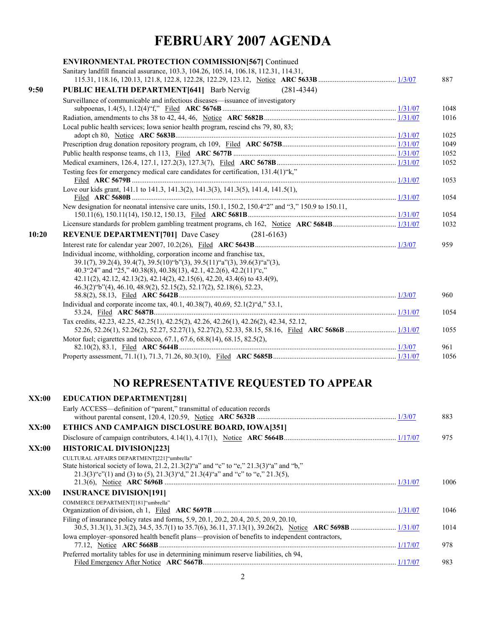## **FEBRUARY 2007 AGENDA**

| <b>ENVIRONMENTAL PROTECTION COMMISSION[567] Continued</b>                                                                                                                                                                                                                                                 |                                                                                                                                                                                                                       |      |
|-----------------------------------------------------------------------------------------------------------------------------------------------------------------------------------------------------------------------------------------------------------------------------------------------------------|-----------------------------------------------------------------------------------------------------------------------------------------------------------------------------------------------------------------------|------|
| Sanitary landfill financial assurance, 103.3, 104.26, 105.14, 106.18, 112.31, 114.31,                                                                                                                                                                                                                     |                                                                                                                                                                                                                       |      |
|                                                                                                                                                                                                                                                                                                           |                                                                                                                                                                                                                       | 887  |
|                                                                                                                                                                                                                                                                                                           |                                                                                                                                                                                                                       |      |
|                                                                                                                                                                                                                                                                                                           |                                                                                                                                                                                                                       | 1048 |
|                                                                                                                                                                                                                                                                                                           |                                                                                                                                                                                                                       | 1016 |
| Local public health services; Iowa senior health program, rescind chs 79, 80, 83;                                                                                                                                                                                                                         |                                                                                                                                                                                                                       | 1025 |
|                                                                                                                                                                                                                                                                                                           |                                                                                                                                                                                                                       | 1049 |
|                                                                                                                                                                                                                                                                                                           |                                                                                                                                                                                                                       | 1052 |
|                                                                                                                                                                                                                                                                                                           |                                                                                                                                                                                                                       | 1052 |
| Testing fees for emergency medical care candidates for certification, 131.4(1)"k,"                                                                                                                                                                                                                        |                                                                                                                                                                                                                       | 1053 |
| Love our kids grant, 141.1 to 141.3, 141.3(2), 141.3(3), 141.3(5), 141.4, 141.5(1),                                                                                                                                                                                                                       |                                                                                                                                                                                                                       | 1054 |
| New designation for neonatal intensive care units, 150.1, 150.2, 150.4"2" and "3," 150.9 to 150.11,                                                                                                                                                                                                       |                                                                                                                                                                                                                       | 1054 |
|                                                                                                                                                                                                                                                                                                           |                                                                                                                                                                                                                       | 1032 |
| <b>REVENUE DEPARTMENT[701] Dave Casey</b><br>$(281-6163)$                                                                                                                                                                                                                                                 |                                                                                                                                                                                                                       |      |
|                                                                                                                                                                                                                                                                                                           |                                                                                                                                                                                                                       | 959  |
| Individual income, withholding, corporation income and franchise tax,<br>39.1(7), 39.2(4), 39.4(7), 39.5(10) "b"(3), 39.5(11) "a"(3), 39.6(3) "a"(3),<br>40.3"24" and "25," 40.38(8), 40.38(13), 42.1, 42.2(6), 42.2(11)"c,"<br>42.11(2), 42.12, 42.13(2), 42.14(2), 42.15(6), 42.20, 43.4(6) to 43.4(9), |                                                                                                                                                                                                                       |      |
|                                                                                                                                                                                                                                                                                                           |                                                                                                                                                                                                                       | 960  |
| Individual and corporate income tax, 40.1, 40.38(7), 40.69, 52.1(2) "d," 53.1,                                                                                                                                                                                                                            |                                                                                                                                                                                                                       | 1054 |
| Tax credits, 42.23, 42.25, 42.25(1), 42.25(2), 42.26, 42.26(1), 42.26(2), 42.34, 52.12,                                                                                                                                                                                                                   |                                                                                                                                                                                                                       | 1055 |
| Motor fuel; cigarettes and tobacco, 67.1, 67.6, 68.8(14), 68.15, 82.5(2),                                                                                                                                                                                                                                 |                                                                                                                                                                                                                       | 961  |
|                                                                                                                                                                                                                                                                                                           |                                                                                                                                                                                                                       | 1056 |
|                                                                                                                                                                                                                                                                                                           | $(281 - 4344)$<br>PUBLIC HEALTH DEPARTMENT[641] Barb Nervig<br>Surveillance of communicable and infectious diseases—issuance of investigatory<br>46.3(2) "b"(4), 46.10, 48.9(2), 52.15(2), 52.17(2), 52.18(6), 52.23, |      |

## **NO REPRESENTATIVE REQUESTED TO APPEAR**

| Early ACCESS—definition of "parent," transmittal of education records<br>ETHICS AND CAMPAIGN DISCLOSURE BOARD, IOWA[351]<br>XX:00                                                                                                 | 883<br>975 |
|-----------------------------------------------------------------------------------------------------------------------------------------------------------------------------------------------------------------------------------|------------|
|                                                                                                                                                                                                                                   |            |
|                                                                                                                                                                                                                                   |            |
|                                                                                                                                                                                                                                   |            |
| XX:00<br><b>HISTORICAL DIVISION[223]</b>                                                                                                                                                                                          |            |
| CULTURAL AFFAIRS DEPARTMENT[221]"umbrella"<br>State historical society of Iowa, 21.2, 21.3(2)"a" and "c" to "e," 21.3(3)"a" and "b,"<br>$21.3(3)$ "c"(1) and (3) to (5), $21.3(3)$ "d," $21.3(4)$ "a" and "c" to "e," $21.3(5)$ , | 1006       |
| XX:00<br><b>INSURANCE DIVISION[191]</b>                                                                                                                                                                                           |            |
| COMMERCE DEPARTMENT[181]"umbrella"                                                                                                                                                                                                | 1046       |
| Filing of insurance policy rates and forms, 5.9, 20.1, 20.2, 20.4, 20.5, 20.9, 20.10,<br>Iowa employer-sponsored health benefit plans—provision of benefits to independent contractors,                                           | 1014       |
|                                                                                                                                                                                                                                   | 978        |
| Preferred mortality tables for use in determining minimum reserve liabilities, ch 94,                                                                                                                                             | 983        |